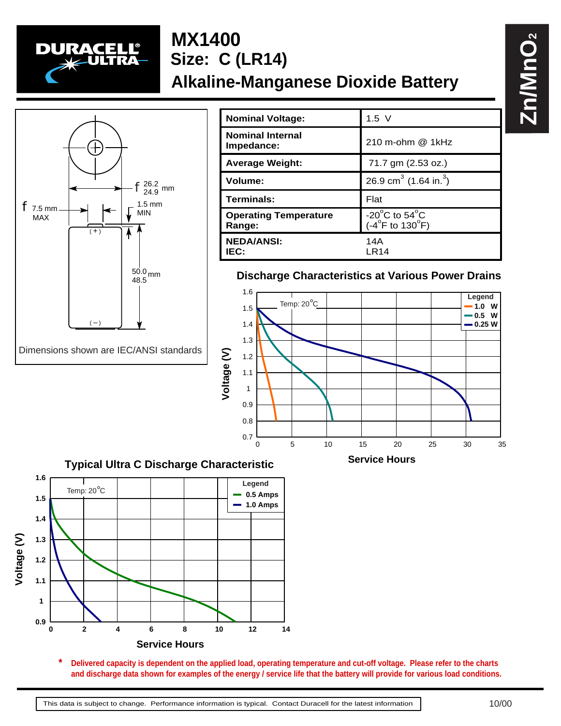

# **MX1400 Alkaline-Manganese Dioxide Battery Size: C (LR14)**



| <b>Nominal Voltage:</b>                | $1.5$ V                                                                     |
|----------------------------------------|-----------------------------------------------------------------------------|
| <b>Nominal Internal</b><br>Impedance:  | 210 m-ohm @ 1kHz                                                            |
| <b>Average Weight:</b>                 | 71.7 gm (2.53 oz.)                                                          |
| Volume:                                | 26.9 cm <sup>3</sup> (1.64 in. <sup>3</sup> )                               |
| Terminals:                             | Flat                                                                        |
| <b>Operating Temperature</b><br>Range: | -20 $^{\circ}$ C to 54 $^{\circ}$ C<br>$(-4^{\circ}$ F to 130 $^{\circ}$ F) |
| <b>NEDA/ANSI:</b><br>IEC:              | 14A<br>LR14                                                                 |

## **Discharge Characteristics at Various Power Drains**





**Delivered capacity is dependent on the applied load, operating temperature and cut-off voltage. Please refer to the charts and discharge data shown for examples of the energy / service life that the battery will provide for various load conditions. \***